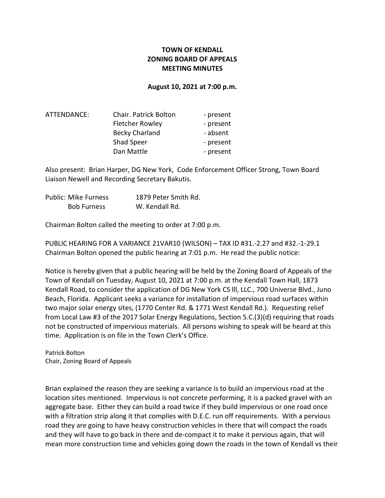## TOWN OF KENDALL ZONING BOARD OF APPEALS MEETING MINUTES

## August 10, 2021 at 7:00 p.m.

| ATTENDANCE: | <b>Chair. Patrick Bolton</b> | - present |
|-------------|------------------------------|-----------|
|             | <b>Fletcher Rowley</b>       | - present |
|             | <b>Becky Charland</b>        | - absent  |
|             | Shad Speer                   | - present |
|             | Dan Mattle                   | - present |

Also present: Brian Harper, DG New York, Code Enforcement Officer Strong, Town Board Liaison Newell and Recording Secretary Bakutis.

| Public: Mike Furness | 1879 Peter Smith Rd. |
|----------------------|----------------------|
| <b>Bob Furness</b>   | W. Kendall Rd.       |

Chairman Bolton called the meeting to order at 7:00 p.m.

PUBLIC HEARING FOR A VARIANCE 21VAR10 (WILSON) – TAX ID #31.-2.27 and #32.-1-29.1 Chairman Bolton opened the public hearing at 7:01 p.m. He read the public notice:

Notice is hereby given that a public hearing will be held by the Zoning Board of Appeals of the Town of Kendall on Tuesday, August 10, 2021 at 7:00 p.m. at the Kendall Town Hall, 1873 Kendall Road, to consider the application of DG New York CS lll, LLC., 700 Universe Blvd., Juno Beach, Florida. Applicant seeks a variance for installation of impervious road surfaces within two major solar energy sites, (1770 Center Rd. & 1771 West Kendall Rd.). Requesting relief from Local Law #3 of the 2017 Solar Energy Regulations, Section 5.C.(3)(d) requiring that roads not be constructed of impervious materials. All persons wishing to speak will be heard at this time. Application is on file in the Town Clerk's Office.

Patrick Bolton Chair, Zoning Board of Appeals

Brian explained the reason they are seeking a variance is to build an impervious road at the location sites mentioned. Impervious is not concrete performing, it is a packed gravel with an aggregate base. Either they can build a road twice if they build impervious or one road once with a filtration strip along it that complies with D.E.C. run off requirements. With a pervious road they are going to have heavy construction vehicles in there that will compact the roads and they will have to go back in there and de-compact it to make it pervious again, that will mean more construction time and vehicles going down the roads in the town of Kendall vs their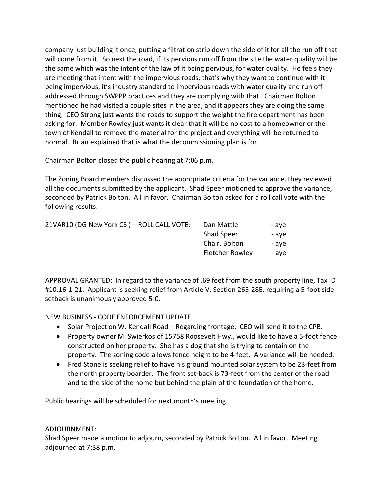company just building it once, putting a filtration strip down the side of it for all the run off that will come from it. So next the road, if its pervious run off from the site the water quality will be the same which was the intent of the law of it being pervious, for water quality. He feels they are meeting that intent with the impervious roads, that's why they want to continue with it being impervious, it's industry standard to impervious roads with water quality and run off addressed through SWPPP practices and they are complying with that. Chairman Bolton mentioned he had visited a couple sites in the area, and it appears they are doing the same thing. CEO Strong just wants the roads to support the weight the fire department has been asking for. Member Rowley just wants it clear that it will be no cost to a homeowner or the town of Kendall to remove the material for the project and everything will be returned to normal. Brian explained that is what the decommissioning plan is for.

Chairman Bolton closed the public hearing at 7:06 p.m.

The Zoning Board members discussed the appropriate criteria for the variance, they reviewed all the documents submitted by the applicant. Shad Speer motioned to approve the variance, seconded by Patrick Bolton. All in favor. Chairman Bolton asked for a roll call vote with the following results:

| 21VAR10 (DG New York CS) - ROLL CALL VOTE: | Dan Mattle             | - ave |
|--------------------------------------------|------------------------|-------|
|                                            | <b>Shad Speer</b>      | - ave |
|                                            | Chair. Bolton          | - ave |
|                                            | <b>Fletcher Rowley</b> | - ave |

APPROVAL GRANTED: In regard to the variance of .69 feet from the south property line, Tax ID #10.16-1-21. Applicant is seeking relief from Article V, Section 265-28E, requiring a 5-foot side setback is unanimously approved 5-0.

NEW BUSINESS - CODE ENFORCEMENT UPDATE:

- Solar Project on W. Kendall Road Regarding frontage. CEO will send it to the CPB.
- Property owner M. Swierkos of 15758 Roosevelt Hwy., would like to have a 5-foot fence constructed on her property. She has a dog that she is trying to contain on the property. The zoning code allows fence height to be 4-feet. A variance will be needed.
- Fred Stone is seeking relief to have his ground mounted solar system to be 23-feet from the north property boarder. The front set-back is 73-feet from the center of the road and to the side of the home but behind the plain of the foundation of the home.

Public hearings will be scheduled for next month's meeting.

## ADJOURNMENT:

Shad Speer made a motion to adjourn, seconded by Patrick Bolton. All in favor. Meeting adjourned at 7:38 p.m.